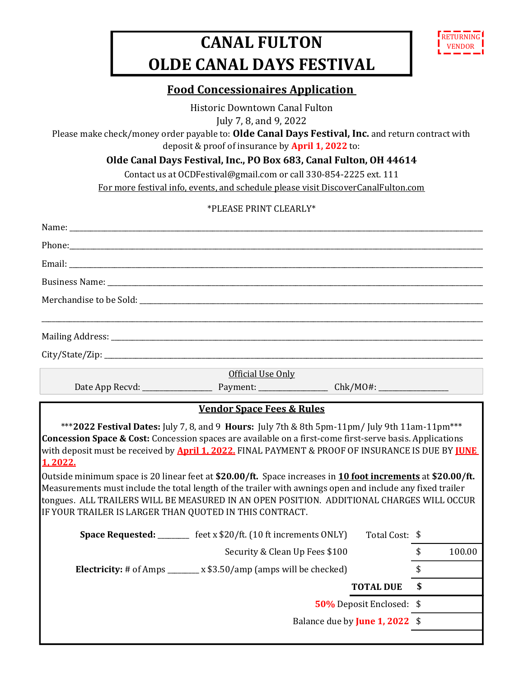## CANAL FULTON OLDE CANAL DAYS FESTIVAL



## Food Concessionaires Application

Historic Downtown Canal Fulton July 7, 8, and 9, 2022

Please make check/money order payable to: Olde Canal Days Festival, Inc. and return contract with deposit & proof of insurance by April 1, 2022 to:

Olde Canal Days Festival, Inc., PO Box 683, Canal Fulton, OH 44614

Contact us at OCDFestival@gmail.com or call 330-854-2225 ext. 111

For more festival info, events, and schedule please visit DiscoverCanalFulton.com

## \*PLEASE PRINT CLEARLY\*

| Name:                                                              |                                                                                                                                                                                                                                                                                                                                                                                                                                                                                                                                                      |                          |              |
|--------------------------------------------------------------------|------------------------------------------------------------------------------------------------------------------------------------------------------------------------------------------------------------------------------------------------------------------------------------------------------------------------------------------------------------------------------------------------------------------------------------------------------------------------------------------------------------------------------------------------------|--------------------------|--------------|
|                                                                    | Phone: Note: All the second contract of the second contract of the second contract of the second contract of the second contract of the second contract of the second contract of the second contract of the second contract o                                                                                                                                                                                                                                                                                                                       |                          |              |
|                                                                    |                                                                                                                                                                                                                                                                                                                                                                                                                                                                                                                                                      |                          |              |
|                                                                    |                                                                                                                                                                                                                                                                                                                                                                                                                                                                                                                                                      |                          |              |
|                                                                    |                                                                                                                                                                                                                                                                                                                                                                                                                                                                                                                                                      |                          |              |
|                                                                    |                                                                                                                                                                                                                                                                                                                                                                                                                                                                                                                                                      |                          |              |
|                                                                    |                                                                                                                                                                                                                                                                                                                                                                                                                                                                                                                                                      |                          |              |
|                                                                    | Official Use Only                                                                                                                                                                                                                                                                                                                                                                                                                                                                                                                                    |                          |              |
|                                                                    | Date App Recvd: Payment: Chk/MO#: Chk/MO#:                                                                                                                                                                                                                                                                                                                                                                                                                                                                                                           |                          |              |
|                                                                    |                                                                                                                                                                                                                                                                                                                                                                                                                                                                                                                                                      |                          |              |
|                                                                    | <b>Vendor Space Fees &amp; Rules</b><br>***2022 Festival Dates: July 7, 8, and 9 Hours: July 7th & 8th 5pm-11pm/ July 9th 11am-11pm***                                                                                                                                                                                                                                                                                                                                                                                                               |                          |              |
| 1,2022.<br>IF YOUR TRAILER IS LARGER THAN QUOTED IN THIS CONTRACT. | Concession Space & Cost: Concession spaces are available on a first-come first-serve basis. Applications<br>with deposit must be received by <b>April 1, 2022.</b> FINAL PAYMENT & PROOF OF INSURANCE IS DUE BY <b>JUNE</b><br>Outside minimum space is 20 linear feet at \$20.00/ft. Space increases in 10 foot increments at \$20.00/ft.<br>Measurements must include the total length of the trailer with awnings open and include any fixed trailer<br>tongues. ALL TRAILERS WILL BE MEASURED IN AN OPEN POSITION. ADDITIONAL CHARGES WILL OCCUR |                          |              |
|                                                                    | <b>Space Requested:</b> ________ feet x \$20/ft. (10 ft increments ONLY)                                                                                                                                                                                                                                                                                                                                                                                                                                                                             | Total Cost: \$           |              |
|                                                                    | Security & Clean Up Fees \$100                                                                                                                                                                                                                                                                                                                                                                                                                                                                                                                       |                          | \$<br>100.00 |
|                                                                    | <b>Electricity:</b> # of Amps _______ x \$3.50/amp (amps will be checked)                                                                                                                                                                                                                                                                                                                                                                                                                                                                            |                          | \$           |
|                                                                    |                                                                                                                                                                                                                                                                                                                                                                                                                                                                                                                                                      | <b>TOTAL DUE</b>         | \$           |
|                                                                    |                                                                                                                                                                                                                                                                                                                                                                                                                                                                                                                                                      | 50% Deposit Enclosed: \$ |              |